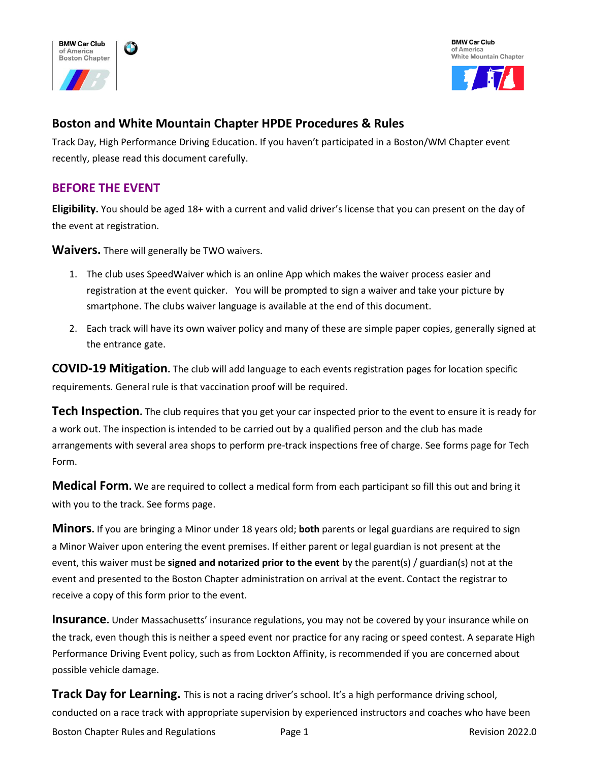



# **Boston and White Mountain Chapter HPDE Procedures & Rules**

Track Day, High Performance Driving Education. If you haven't participated in a Boston/WM Chapter event recently, please read this document carefully.

## **BEFORE THE EVENT**

**Eligibility.** You should be aged 18+ with a current and valid driver's license that you can present on the day of the event at registration.

**Waivers.** There will generally be TWO waivers.

- 1. The club uses SpeedWaiver which is an online App which makes the waiver process easier and registration at the event quicker. You will be prompted to sign a waiver and take your picture by smartphone. The clubs waiver language is available at the end of this document.
- 2. Each track will have its own waiver policy and many of these are simple paper copies, generally signed at the entrance gate.

**COVID-19 Mitigation.** The club will add language to each events registration pages for location specific requirements. General rule is that vaccination proof will be required.

**Tech Inspection.** The club requires that you get your car inspected prior to the event to ensure it is ready for a work out. The inspection is intended to be carried out by a qualified person and the club has made arrangements with several area shops to perform pre-track inspections free of charge. See forms page for Tech Form.

**Medical Form.** We are required to collect a medical form from each participant so fill this out and bring it with you to the track. See forms page.

**Minors.** If you are bringing a Minor under 18 years old; **both** parents or legal guardians are required to sign a Minor Waiver upon entering the event premises. If either parent or legal guardian is not present at the event, this waiver must be **signed and notarized prior to the event** by the parent(s) / guardian(s) not at the event and presented to the Boston Chapter administration on arrival at the event. Contact the registrar to receive a copy of this form prior to the event.

**Insurance.** Under Massachusetts' insurance regulations, you may not be covered by your insurance while on the track, even though this is neither a speed event nor practice for any racing or speed contest. A separate High Performance Driving Event policy, such as from Lockton Affinity, is recommended if you are concerned about possible vehicle damage.

**Track Day for Learning.** This is not a racing driver's school. It's a high performance driving school, conducted on a race track with appropriate supervision by experienced instructors and coaches who have been

Boston Chapter Rules and Regulations **Page 1** Page 1 Revision 2022.0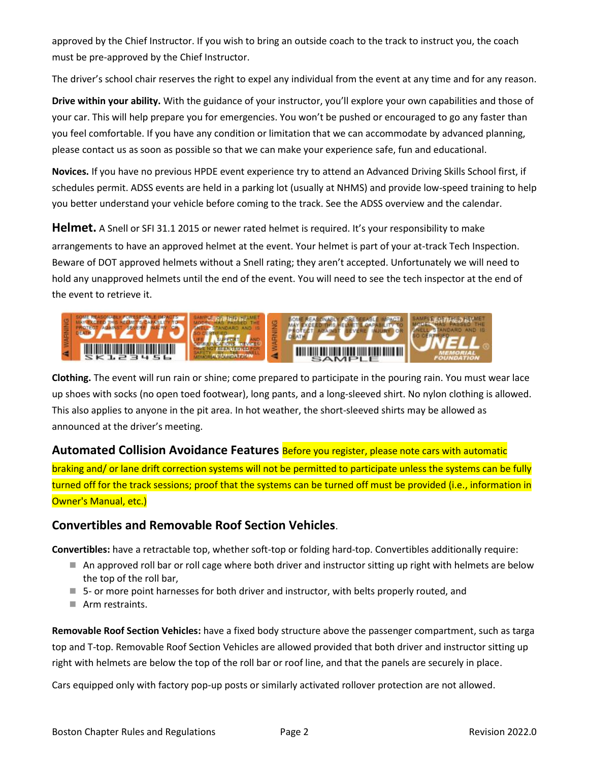approved by the Chief Instructor. If you wish to bring an outside coach to the track to instruct you, the coach must be pre-approved by the Chief Instructor.

The driver's school chair reserves the right to expel any individual from the event at any time and for any reason.

**Drive within your ability.** With the guidance of your instructor, you'll explore your own capabilities and those of your car. This will help prepare you for emergencies. You won't be pushed or encouraged to go any faster than you feel comfortable. If you have any condition or limitation that we can accommodate by advanced planning, please contact us as soon as possible so that we can make your experience safe, fun and educational.

**Novices.** If you have no previous HPDE event experience try to attend an Advanced Driving Skills School first, if schedules permit. ADSS events are held in a parking lot (usually at NHMS) and provide low-speed training to help you better understand your vehicle before coming to the track. See the ADSS overview and the calendar.

**Helmet.** A Snell or SFI 31.1 2015 or newer rated helmet is required. It's your responsibility to make arrangements to have an approved helmet at the event. Your helmet is part of your at-track Tech Inspection. Beware of DOT approved helmets without a Snell rating; they aren't accepted. Unfortunately we will need to hold any unapproved helmets until the end of the event. You will need to see the tech inspector at the end of the event to retrieve it.



**Clothing.** The event will run rain or shine; come prepared to participate in the pouring rain. You must wear lace up shoes with socks (no open toed footwear), long pants, and a long-sleeved shirt. No nylon clothing is allowed. This also applies to anyone in the pit area. In hot weather, the short-sleeved shirts may be allowed as announced at the driver's meeting.

**Automated Collision Avoidance Features** Before you register, please note cars with automatic braking and/ or lane drift correction systems will not be permitted to participate unless the systems can be fully turned off for the track sessions; proof that the systems can be turned off must be provided (i.e., information in Owner's Manual, etc.)

#### **Convertibles and Removable Roof Section Vehicles**.

**Convertibles:** have a retractable top, whether soft-top or folding hard-top. Convertibles additionally require:

- An approved roll bar or roll cage where both driver and instructor sitting up right with helmets are below the top of the roll bar,
- 5- or more point harnesses for both driver and instructor, with belts properly routed, and
- Arm restraints.

**Removable Roof Section Vehicles:** have a fixed body structure above the passenger compartment, such as targa top and T-top. Removable Roof Section Vehicles are allowed provided that both driver and instructor sitting up right with helmets are below the top of the roll bar or roof line, and that the panels are securely in place.

Cars equipped only with factory pop-up posts or similarly activated rollover protection are not allowed.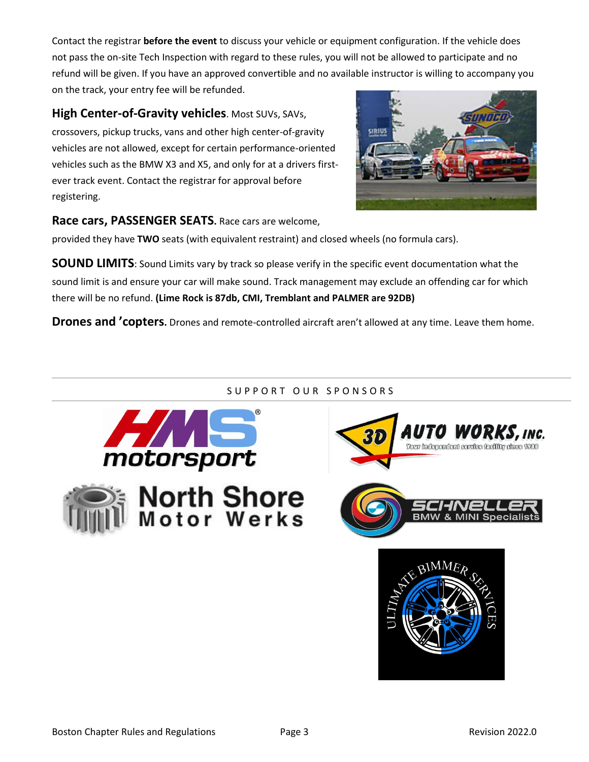Contact the registrar **before the event** to discuss your vehicle or equipment configuration. If the vehicle does not pass the on-site Tech Inspection with regard to these rules, you will not be allowed to participate and no refund will be given. If you have an approved convertible and no available instructor is willing to accompany you on the track, your entry fee will be refunded.

# **High Center-of-Gravity vehicles**. Most SUVs, SAVs,

crossovers, pickup trucks, vans and other high center-of-gravity vehicles are not allowed, except for certain performance-oriented vehicles such as the BMW X3 and X5, and only for at a drivers firstever track event. Contact the registrar for approval before registering.



## **Race cars, PASSENGER SEATS.** Race cars are welcome,

provided they have **TWO** seats (with equivalent restraint) and closed wheels (no formula cars).

**SOUND LIMITS**: Sound Limits vary by track so please verify in the specific event documentation what the sound limit is and ensure your car will make sound. Track management may exclude an offending car for which there will be no refund. **(Lime Rock is 87db, CMI, Tremblant and PALMER are 92DB)**

**Drones and 'copters.** Drones and remote-controlled aircraft aren't allowed at any time. Leave them home.

#### SUPPORT OUR SPONSORS







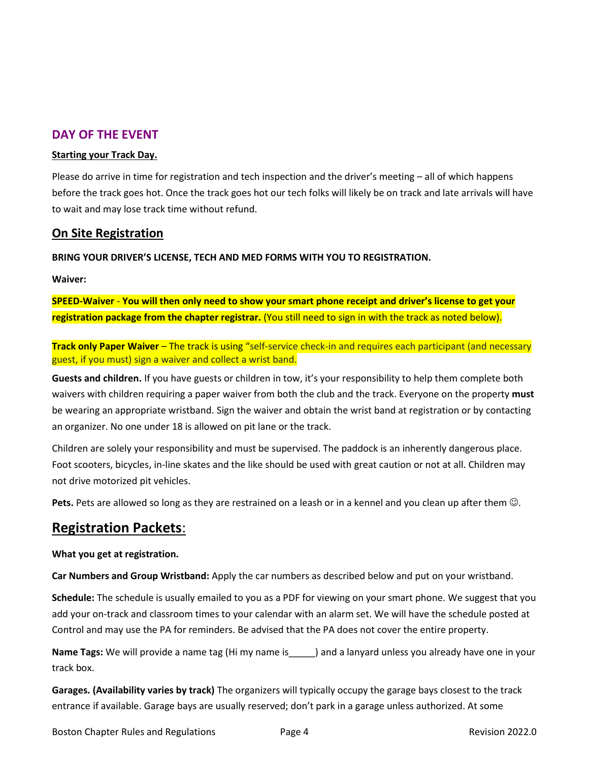# **DAY OF THE EVENT**

#### **Starting your Track Day.**

Please do arrive in time for registration and tech inspection and the driver's meeting – all of which happens before the track goes hot. Once the track goes hot our tech folks will likely be on track and late arrivals will have to wait and may lose track time without refund.

## **On Site Registration**

**BRING YOUR DRIVER'S LICENSE, TECH AND MED FORMS WITH YOU TO REGISTRATION.** 

**Waiver:**

**SPEED-Waiver** - **You will then only need to show your smart phone receipt and driver's license to get your registration package from the chapter registrar.** (You still need to sign in with the track as noted below).

**Track only Paper Waiver** – The track is using "self-service check-in and requires each participant (and necessary guest, if you must) sign a waiver and collect a wrist band.

**Guests and children.** If you have guests or children in tow, it's your responsibility to help them complete both waivers with children requiring a paper waiver from both the club and the track. Everyone on the property **must** be wearing an appropriate wristband. Sign the waiver and obtain the wrist band at registration or by contacting an organizer. No one under 18 is allowed on pit lane or the track.

Children are solely your responsibility and must be supervised. The paddock is an inherently dangerous place. Foot scooters, bicycles, in-line skates and the like should be used with great caution or not at all. Children may not drive motorized pit vehicles.

Pets. Pets are allowed so long as they are restrained on a leash or in a kennel and you clean up after them  $\odot$ .

# **Registration Packets**:

**What you get at registration.**

**Car Numbers and Group Wristband:** Apply the car numbers as described below and put on your wristband.

**Schedule:** The schedule is usually emailed to you as a PDF for viewing on your smart phone. We suggest that you add your on-track and classroom times to your calendar with an alarm set. We will have the schedule posted at Control and may use the PA for reminders. Be advised that the PA does not cover the entire property.

**Name Tags:** We will provide a name tag (Hi my name is ) and a lanyard unless you already have one in your track box.

**Garages. (Availability varies by track)** The organizers will typically occupy the garage bays closest to the track entrance if available. Garage bays are usually reserved; don't park in a garage unless authorized. At some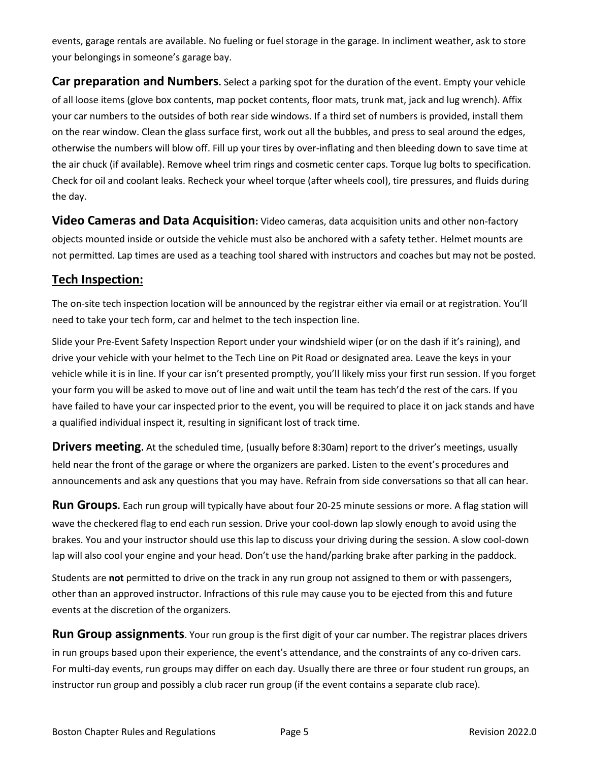events, garage rentals are available. No fueling or fuel storage in the garage. In incliment weather, ask to store your belongings in someone's garage bay.

**Car preparation and Numbers.** Select a parking spot for the duration of the event. Empty your vehicle of all loose items (glove box contents, map pocket contents, floor mats, trunk mat, jack and lug wrench). Affix your car numbers to the outsides of both rear side windows. If a third set of numbers is provided, install them on the rear window. Clean the glass surface first, work out all the bubbles, and press to seal around the edges, otherwise the numbers will blow off. Fill up your tires by over-inflating and then bleeding down to save time at the air chuck (if available). Remove wheel trim rings and cosmetic center caps. Torque lug bolts to specification. Check for oil and coolant leaks. Recheck your wheel torque (after wheels cool), tire pressures, and fluids during the day.

**Video Cameras and Data Acquisition:** Video cameras, data acquisition units and other non-factory objects mounted inside or outside the vehicle must also be anchored with a safety tether. Helmet mounts are not permitted. Lap times are used as a teaching tool shared with instructors and coaches but may not be posted.

# **Tech Inspection:**

The on-site tech inspection location will be announced by the registrar either via email or at registration. You'll need to take your tech form, car and helmet to the tech inspection line.

Slide your Pre-Event Safety Inspection Report under your windshield wiper (or on the dash if it's raining), and drive your vehicle with your helmet to the Tech Line on Pit Road or designated area. Leave the keys in your vehicle while it is in line. If your car isn't presented promptly, you'll likely miss your first run session. If you forget your form you will be asked to move out of line and wait until the team has tech'd the rest of the cars. If you have failed to have your car inspected prior to the event, you will be required to place it on jack stands and have a qualified individual inspect it, resulting in significant lost of track time.

**Drivers meeting.** At the scheduled time, (usually before 8:30am) report to the driver's meetings, usually held near the front of the garage or where the organizers are parked. Listen to the event's procedures and announcements and ask any questions that you may have. Refrain from side conversations so that all can hear.

**Run Groups.** Each run group will typically have about four 20-25 minute sessions or more. A flag station will wave the checkered flag to end each run session. Drive your cool-down lap slowly enough to avoid using the brakes. You and your instructor should use this lap to discuss your driving during the session. A slow cool-down lap will also cool your engine and your head. Don't use the hand/parking brake after parking in the paddock.

Students are **not** permitted to drive on the track in any run group not assigned to them or with passengers, other than an approved instructor. Infractions of this rule may cause you to be ejected from this and future events at the discretion of the organizers.

**Run Group assignments**. Your run group is the first digit of your car number. The registrar places drivers in run groups based upon their experience, the event's attendance, and the constraints of any co-driven cars. For multi-day events, run groups may differ on each day. Usually there are three or four student run groups, an instructor run group and possibly a club racer run group (if the event contains a separate club race).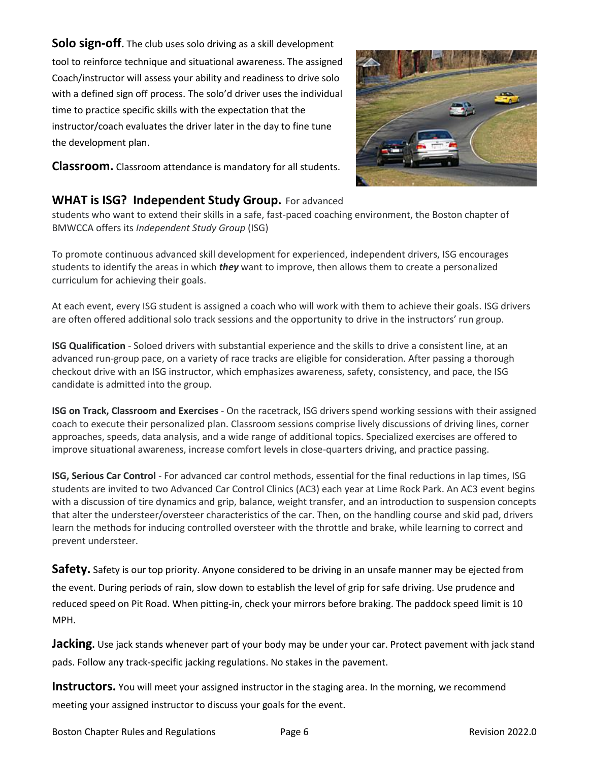**Solo sign-off.** The club uses solo driving as a skill development tool to reinforce technique and situational awareness. The assigned Coach/instructor will assess your ability and readiness to drive solo with a defined sign off process. The solo'd driver uses the individual time to practice specific skills with the expectation that the instructor/coach evaluates the driver later in the day to fine tune the development plan.



**Classroom.** Classroom attendance is mandatory for all students.

# **WHAT is ISG? Independent Study Group.** For advanced

students who want to extend their skills in a safe, fast-paced coaching environment, the Boston chapter of BMWCCA offers its *Independent Study Group* (ISG)

To promote continuous advanced skill development for experienced, independent drivers, ISG encourages students to identify the areas in which *they* want to improve, then allows them to create a personalized curriculum for achieving their goals.

At each event, every ISG student is assigned a coach who will work with them to achieve their goals. ISG drivers are often offered additional solo track sessions and the opportunity to drive in the instructors' run group.

**ISG Qualification** - Soloed drivers with substantial experience and the skills to drive a consistent line, at an advanced run-group pace, on a variety of race tracks are eligible for consideration. After passing a thorough checkout drive with an ISG instructor, which emphasizes awareness, safety, consistency, and pace, the ISG candidate is admitted into the group.

**ISG on Track, Classroom and Exercises** - On the racetrack, ISG drivers spend working sessions with their assigned coach to execute their personalized plan. Classroom sessions comprise lively discussions of driving lines, corner approaches, speeds, data analysis, and a wide range of additional topics. Specialized exercises are offered to improve situational awareness, increase comfort levels in close-quarters driving, and practice passing.

**ISG, Serious Car Control** - For advanced car control methods, essential for the final reductions in lap times, ISG students are invited to two Advanced Car Control Clinics (AC3) each year at Lime Rock Park. An AC3 event begins with a discussion of tire dynamics and grip, balance, weight transfer, and an introduction to suspension concepts that alter the understeer/oversteer characteristics of the car. Then, on the handling course and skid pad, drivers learn the methods for inducing controlled oversteer with the throttle and brake, while learning to correct and prevent understeer.

**Safety.** Safety is our top priority. Anyone considered to be driving in an unsafe manner may be ejected from the event. During periods of rain, slow down to establish the level of grip for safe driving. Use prudence and reduced speed on Pit Road. When pitting-in, check your mirrors before braking. The paddock speed limit is 10 MPH.

**Jacking.** Use jack stands whenever part of your body may be under your car. Protect pavement with jack stand pads. Follow any track-specific jacking regulations. No stakes in the pavement.

**Instructors.** You will meet your assigned instructor in the staging area. In the morning, we recommend meeting your assigned instructor to discuss your goals for the event.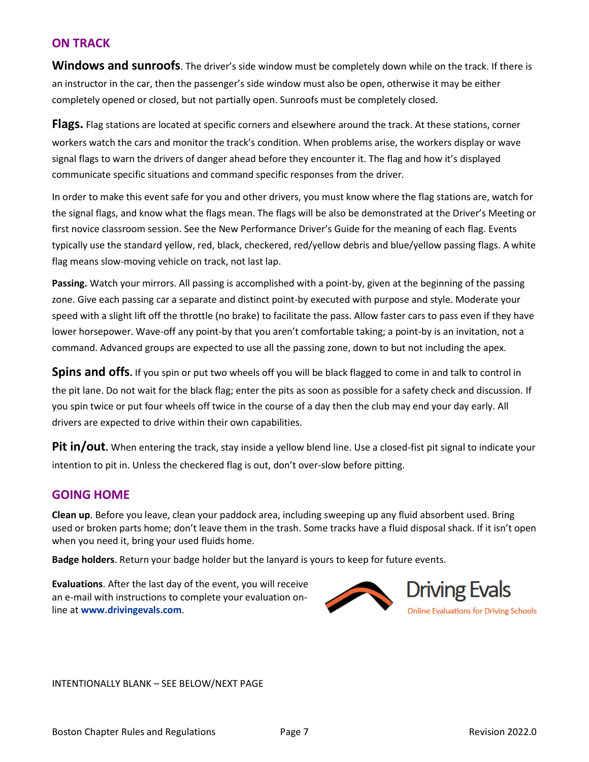# **ON TRACK**

**Windows and sunroofs**. The driver's side window must be completely down while on the track. If there is an instructor in the car, then the passenger's side window must also be open, otherwise it may be either completely opened or closed, but not partially open. Sunroofs must be completely closed.

**Flags.** Flag stations are located at specific corners and elsewhere around the track. At these stations, corner workers watch the cars and monitor the track's condition. When problems arise, the workers display or wave signal flags to warn the drivers of danger ahead before they encounter it. The flag and how it's displayed communicate specific situations and command specific responses from the driver.

In order to make this event safe for you and other drivers, you must know where the flag stations are, watch for the signal flags, and know what the flags mean. The flags will be also be demonstrated at the Driver's Meeting or first novice classroom session. See the New Performance Driver's Guide for the meaning of each flag. Events typically use the standard yellow, red, black, checkered, red/yellow debris and blue/yellow passing flags. A white flag means slow-moving vehicle on track, not last lap.

**Passing.** Watch your mirrors. All passing is accomplished with a point-by, given at the beginning of the passing zone. Give each passing car a separate and distinct point-by executed with purpose and style. Moderate your speed with a slight lift off the throttle (no brake) to facilitate the pass. Allow faster cars to pass even if they have lower horsepower. Wave-off any point-by that you aren't comfortable taking; a point-by is an invitation, not a command. Advanced groups are expected to use all the passing zone, down to but not including the apex.

**Spins and offs.** If you spin or put two wheels off you will be black flagged to come in and talk to control in the pit lane. Do not wait for the black flag; enter the pits as soon as possible for a safety check and discussion. If you spin twice or put four wheels off twice in the course of a day then the club may end your day early. All drivers are expected to drive within their own capabilities.

**Pit in/out.** When entering the track, stay inside a yellow blend line. Use a closed-fist pit signal to indicate your intention to pit in. Unless the checkered flag is out, don't over-slow before pitting.

# **GOING HOME**

**Clean up**. Before you leave, clean your paddock area, including sweeping up any fluid absorbent used. Bring used or broken parts home; don't leave them in the trash. Some tracks have a fluid disposal shack. If it isn't open when you need it, bring your used fluids home.

**Badge holders**. Return your badge holder but the lanyard is yours to keep for future events.

**Evaluations**. After the last day of the event, you will receive an e-mail with instructions to complete your evaluation online at **[www.drivingevals.com](http://www.drivingevals.com/)**.



INTENTIONALLY BLANK – SEE BELOW/NEXT PAGE